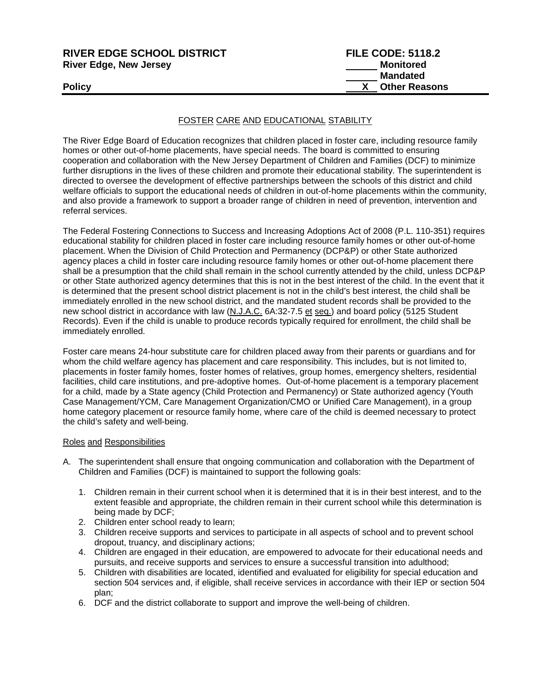| <b>RIVER EDGE SCHOOL DISTRICT</b> | <b>FILE CODE: 5118.2</b> |
|-----------------------------------|--------------------------|
| <b>River Edge, New Jersey</b>     | Monitored                |
|                                   | <b>Mandated</b>          |
| <b>Policy</b>                     | <b>Other Reasons</b>     |
|                                   |                          |

# FOSTER CARE AND EDUCATIONAL STABILITY

The River Edge Board of Education recognizes that children placed in foster care, including resource family homes or other out-of-home placements, have special needs. The board is committed to ensuring cooperation and collaboration with the New Jersey Department of Children and Families (DCF) to minimize further disruptions in the lives of these children and promote their educational stability. The superintendent is directed to oversee the development of effective partnerships between the schools of this district and child welfare officials to support the educational needs of children in out-of-home placements within the community, and also provide a framework to support a broader range of children in need of prevention, intervention and referral services.

The Federal Fostering Connections to Success and Increasing Adoptions Act of 2008 (P.L. 110-351) requires educational stability for children placed in foster care including resource family homes or other out-of-home placement. When the Division of Child Protection and Permanency (DCP&P) or other State authorized agency places a child in foster care including resource family homes or other out-of-home placement there shall be a presumption that the child shall remain in the school currently attended by the child, unless DCP&P or other State authorized agency determines that this is not in the best interest of the child. In the event that it is determined that the present school district placement is not in the child's best interest, the child shall be immediately enrolled in the new school district, and the mandated student records shall be provided to the new school district in accordance with law (N.J.A.C. 6A:32-7.5 et seq.) and board policy (5125 Student Records). Even if the child is unable to produce records typically required for enrollment, the child shall be immediately enrolled.

Foster care means 24-hour substitute care for children placed away from their parents or guardians and for whom the child welfare agency has placement and care responsibility. This includes, but is not limited to, placements in foster family homes, foster homes of relatives, group homes, emergency shelters, residential facilities, child care institutions, and pre-adoptive homes. Out-of-home placement is a temporary placement for a child, made by a State agency (Child Protection and Permanency) or State authorized agency (Youth Case Management/YCM, Care Management Organization/CMO or Unified Care Management), in a group home category placement or resource family home, where care of the child is deemed necessary to protect the child's safety and well-being.

#### Roles and Responsibilities

- A. The superintendent shall ensure that ongoing communication and collaboration with the Department of Children and Families (DCF) is maintained to support the following goals:
	- 1. Children remain in their current school when it is determined that it is in their best interest, and to the extent feasible and appropriate, the children remain in their current school while this determination is being made by DCF;
	- 2. Children enter school ready to learn;
	- 3. Children receive supports and services to participate in all aspects of school and to prevent school dropout, truancy, and disciplinary actions;
	- 4. Children are engaged in their education, are empowered to advocate for their educational needs and pursuits, and receive supports and services to ensure a successful transition into adulthood;
	- 5. Children with disabilities are located, identified and evaluated for eligibility for special education and section 504 services and, if eligible, shall receive services in accordance with their IEP or section 504 plan;
	- 6. DCF and the district collaborate to support and improve the well-being of children.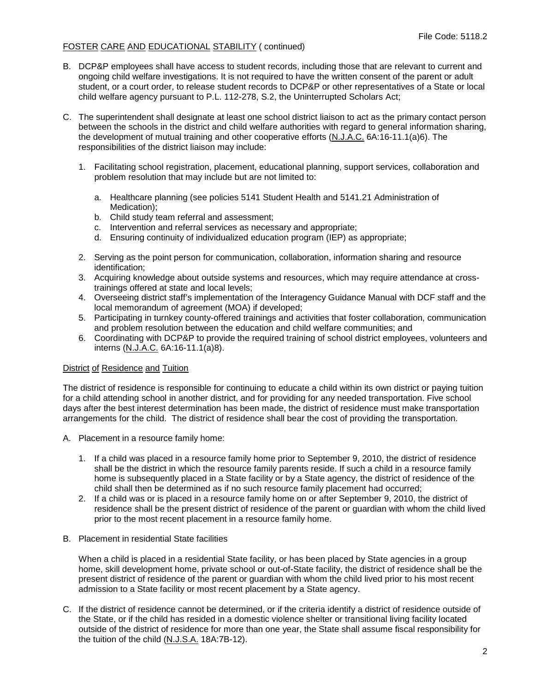# FOSTER CARE AND EDUCATIONAL STABILITY ( continued)

- B. DCP&P employees shall have access to student records, including those that are relevant to current and ongoing child welfare investigations. It is not required to have the written consent of the parent or adult student, or a court order, to release student records to DCP&P or other representatives of a State or local child welfare agency pursuant to P.L. 112-278, S.2, the Uninterrupted Scholars Act;
- C. The superintendent shall designate at least one school district liaison to act as the primary contact person between the schools in the district and child welfare authorities with regard to general information sharing, the development of mutual training and other cooperative efforts (N.J.A.C. 6A:16-11.1(a)6). The responsibilities of the district liaison may include:
	- 1. Facilitating school registration, placement, educational planning, support services, collaboration and problem resolution that may include but are not limited to:
		- a. Healthcare planning (see policies 5141 Student Health and 5141.21 Administration of Medication);
		- b. Child study team referral and assessment;
		- c. Intervention and referral services as necessary and appropriate;
		- d. Ensuring continuity of individualized education program (IEP) as appropriate;
	- 2. Serving as the point person for communication, collaboration, information sharing and resource identification;
	- 3. Acquiring knowledge about outside systems and resources, which may require attendance at crosstrainings offered at state and local levels;
	- 4. Overseeing district staff's implementation of the Interagency Guidance Manual with DCF staff and the local memorandum of agreement (MOA) if developed;
	- 5. Participating in turnkey county-offered trainings and activities that foster collaboration, communication and problem resolution between the education and child welfare communities; and
	- 6. Coordinating with DCP&P to provide the required training of school district employees, volunteers and interns (N.J.A.C. 6A:16-11.1(a)8).

# District of Residence and Tuition

The district of residence is responsible for continuing to educate a child within its own district or paying tuition for a child attending school in another district, and for providing for any needed transportation. Five school days after the best interest determination has been made, the district of residence must make transportation arrangements for the child. The district of residence shall bear the cost of providing the transportation.

- A. Placement in a resource family home:
	- 1. If a child was placed in a resource family home prior to September 9, 2010, the district of residence shall be the district in which the resource family parents reside. If such a child in a resource family home is subsequently placed in a State facility or by a State agency, the district of residence of the child shall then be determined as if no such resource family placement had occurred;
	- 2. If a child was or is placed in a resource family home on or after September 9, 2010, the district of residence shall be the present district of residence of the parent or guardian with whom the child lived prior to the most recent placement in a resource family home.
- B. Placement in residential State facilities

When a child is placed in a residential State facility, or has been placed by State agencies in a group home, skill development home, private school or out-of-State facility, the district of residence shall be the present district of residence of the parent or guardian with whom the child lived prior to his most recent admission to a State facility or most recent placement by a State agency.

C. If the district of residence cannot be determined, or if the criteria identify a district of residence outside of the State, or if the child has resided in a domestic violence shelter or transitional living facility located outside of the district of residence for more than one year, the State shall assume fiscal responsibility for the tuition of the child (N.J.S.A. 18A:7B-12).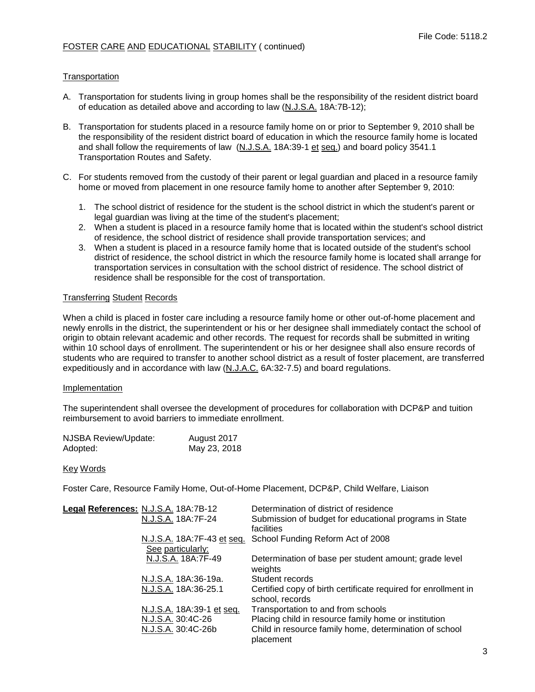# FOSTER CARE AND EDUCATIONAL STABILITY ( continued)

# **Transportation**

- A. Transportation for students living in group homes shall be the responsibility of the resident district board of education as detailed above and according to law (N.J.S.A. 18A:7B-12);
- B. Transportation for students placed in a resource family home on or prior to September 9, 2010 shall be the responsibility of the resident district board of education in which the resource family home is located and shall follow the requirements of law (N.J.S.A. 18A:39-1 et seq.) and board policy 3541.1 Transportation Routes and Safety.
- C. For students removed from the custody of their parent or legal guardian and placed in a resource family home or moved from placement in one resource family home to another after September 9, 2010:
	- 1. The school district of residence for the student is the school district in which the student's parent or legal guardian was living at the time of the student's placement;
	- 2. When a student is placed in a resource family home that is located within the student's school district of residence, the school district of residence shall provide transportation services; and
	- 3. When a student is placed in a resource family home that is located outside of the student's school district of residence, the school district in which the resource family home is located shall arrange for transportation services in consultation with the school district of residence. The school district of residence shall be responsible for the cost of transportation.

### Transferring Student Records

When a child is placed in foster care including a resource family home or other out-of-home placement and newly enrolls in the district, the superintendent or his or her designee shall immediately contact the school of origin to obtain relevant academic and other records*.* The request for records shall be submitted in writing within 10 school days of enrollment. The superintendent or his or her designee shall also ensure records of students who are required to transfer to another school district as a result of foster placement, are transferred expeditiously and in accordance with law (N.J.A.C. 6A:32-7.5) and board regulations.

#### Implementation

The superintendent shall oversee the development of procedures for collaboration with DCP&P and tuition reimbursement to avoid barriers to immediate enrollment.

| NJSBA Review/Update: | August 2017  |
|----------------------|--------------|
| Adopted:             | May 23, 2018 |

#### Key Words

Foster Care, Resource Family Home, Out-of-Home Placement, DCP&P, Child Welfare, Liaison

| Legal References: N.J.S.A. 18A:7B-12<br>N.J.S.A. 18A:7F-24 | Determination of district of residence<br>Submission of budget for educational programs in State<br>facilities |
|------------------------------------------------------------|----------------------------------------------------------------------------------------------------------------|
| See particularly:                                          | N.J.S.A. 18A:7F-43 et seq. School Funding Reform Act of 2008                                                   |
| N.J.S.A. 18A:7F-49                                         | Determination of base per student amount; grade level<br>weights                                               |
| N.J.S.A. 18A:36-19a.                                       | Student records                                                                                                |
| N.J.S.A. 18A:36-25.1                                       | Certified copy of birth certificate required for enrollment in<br>school, records                              |
| N.J.S.A. 18A:39-1 et seq.                                  | Transportation to and from schools                                                                             |
| N.J.S.A. 30:4C-26                                          | Placing child in resource family home or institution                                                           |
| N.J.S.A. 30:4C-26b                                         | Child in resource family home, determination of school<br>placement                                            |